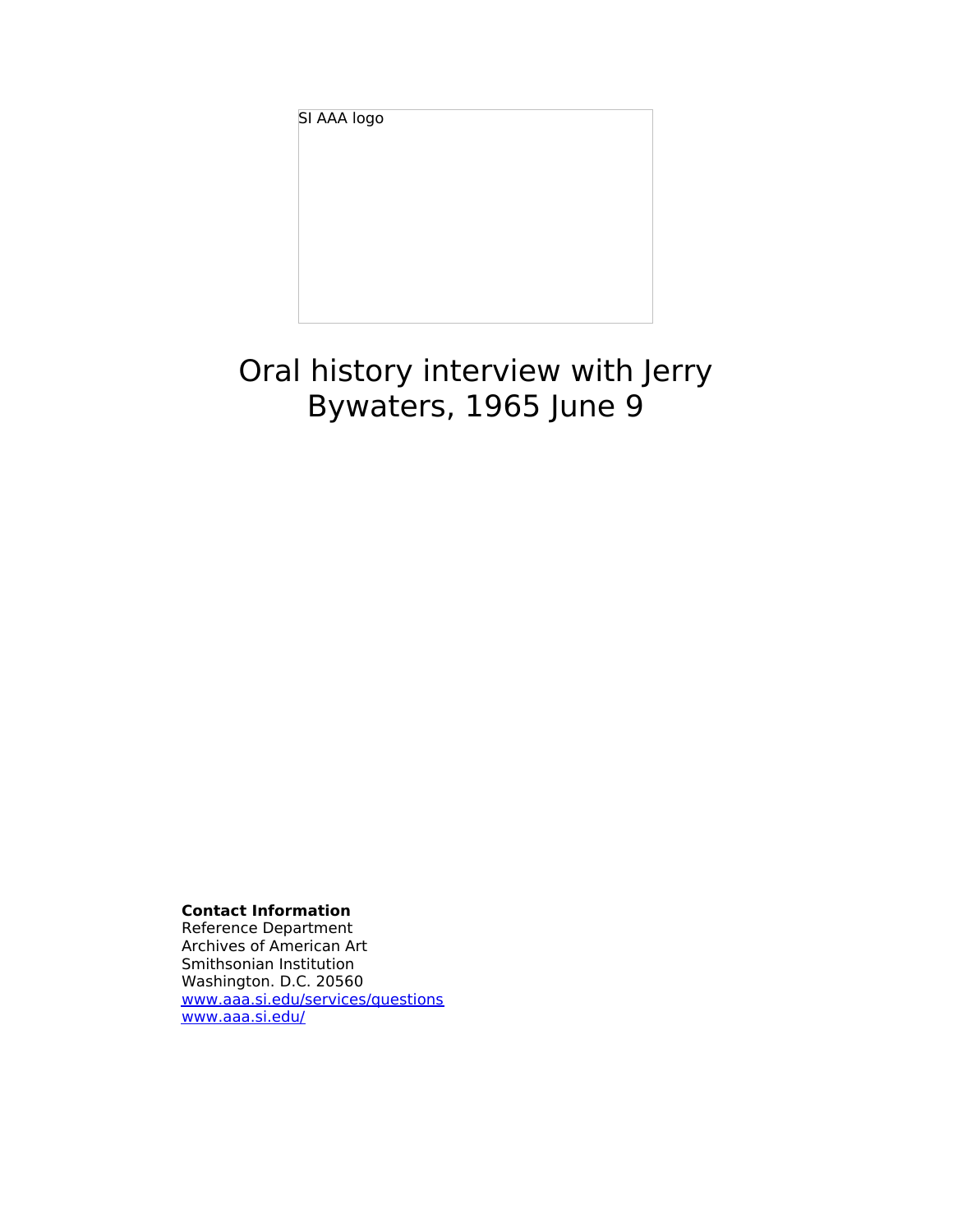SI AAA logo

# Oral history interview with Jerry Bywaters, 1965 June 9

**Contact Information**

Reference Department Archives of American Art Smithsonian Institution Washington. D.C. 20560 [www.aaa.si.edu/services/questions](http://www.aaa.si.edu/services/questions) [www.aaa.si.edu/](http://www.aaa.si.edu/)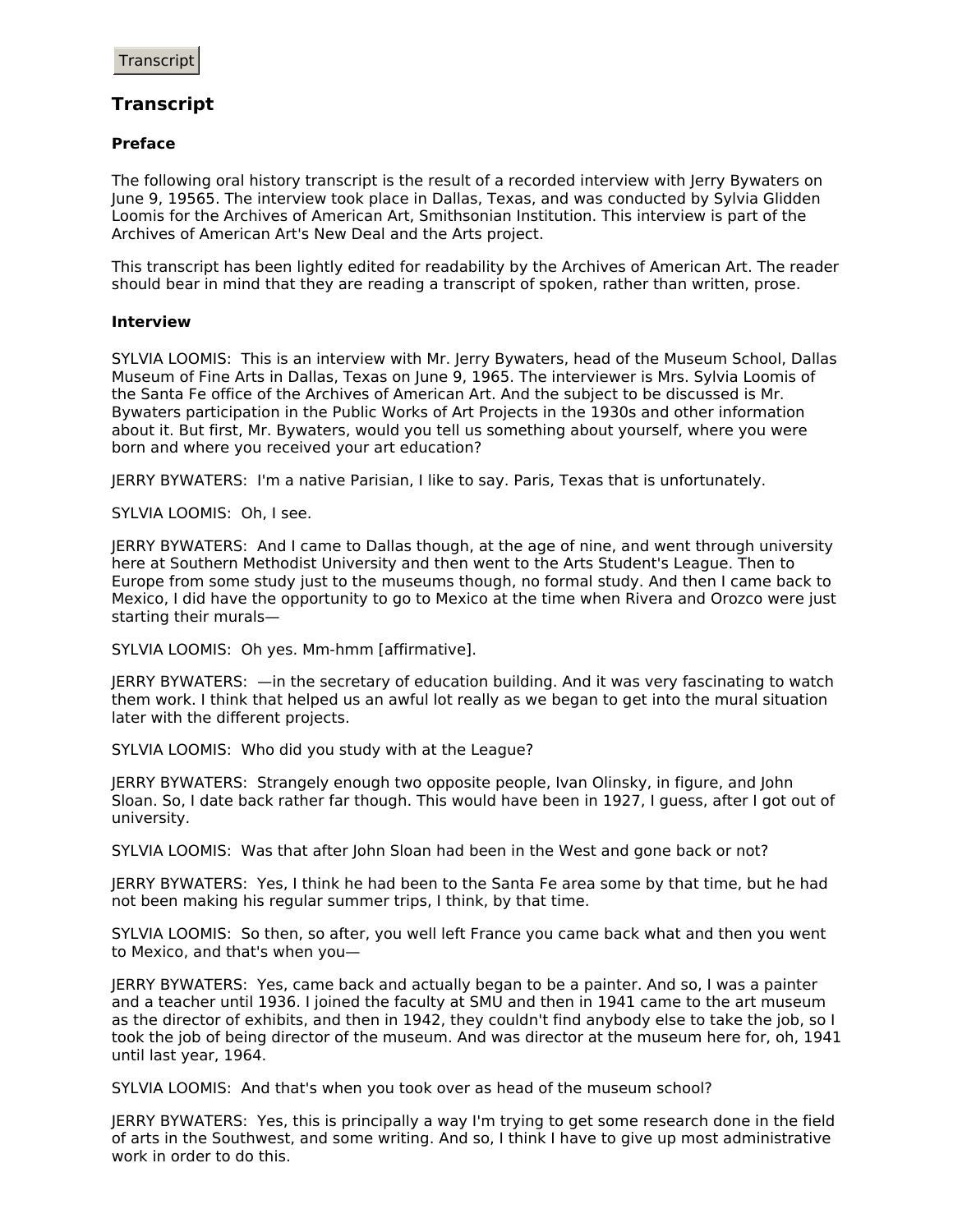## **Transcript**

### **Preface**

The following oral history transcript is the result of a recorded interview with Jerry Bywaters on June 9, 19565. The interview took place in Dallas, Texas, and was conducted by Sylvia Glidden Loomis for the Archives of American Art, Smithsonian Institution. This interview is part of the Archives of American Art's New Deal and the Arts project.

This transcript has been lightly edited for readability by the Archives of American Art. The reader should bear in mind that they are reading a transcript of spoken, rather than written, prose.

#### **Interview**

SYLVIA LOOMIS: This is an interview with Mr. Jerry Bywaters, head of the Museum School, Dallas Museum of Fine Arts in Dallas, Texas on June 9, 1965. The interviewer is Mrs. Sylvia Loomis of the Santa Fe office of the Archives of American Art. And the subject to be discussed is Mr. Bywaters participation in the Public Works of Art Projects in the 1930s and other information about it. But first, Mr. Bywaters, would you tell us something about yourself, where you were born and where you received your art education?

JERRY BYWATERS: I'm a native Parisian, I like to say. Paris, Texas that is unfortunately.

SYLVIA LOOMIS: Oh, I see.

JERRY BYWATERS: And I came to Dallas though, at the age of nine, and went through university here at Southern Methodist University and then went to the Arts Student's League. Then to Europe from some study just to the museums though, no formal study. And then I came back to Mexico, I did have the opportunity to go to Mexico at the time when Rivera and Orozco were just starting their murals—

SYLVIA LOOMIS: Oh yes. Mm-hmm [affirmative].

JERRY BYWATERS: —in the secretary of education building. And it was very fascinating to watch them work. I think that helped us an awful lot really as we began to get into the mural situation later with the different projects.

SYLVIA LOOMIS: Who did you study with at the League?

JERRY BYWATERS: Strangely enough two opposite people, Ivan Olinsky, in figure, and John Sloan. So, I date back rather far though. This would have been in 1927, I guess, after I got out of university.

SYLVIA LOOMIS: Was that after John Sloan had been in the West and gone back or not?

JERRY BYWATERS: Yes, I think he had been to the Santa Fe area some by that time, but he had not been making his regular summer trips, I think, by that time.

SYLVIA LOOMIS: So then, so after, you well left France you came back what and then you went to Mexico, and that's when you—

JERRY BYWATERS: Yes, came back and actually began to be a painter. And so, I was a painter and a teacher until 1936. I joined the faculty at SMU and then in 1941 came to the art museum as the director of exhibits, and then in 1942, they couldn't find anybody else to take the job, so I took the job of being director of the museum. And was director at the museum here for, oh, 1941 until last year, 1964.

SYLVIA LOOMIS: And that's when you took over as head of the museum school?

JERRY BYWATERS: Yes, this is principally a way I'm trying to get some research done in the field of arts in the Southwest, and some writing. And so, I think I have to give up most administrative work in order to do this.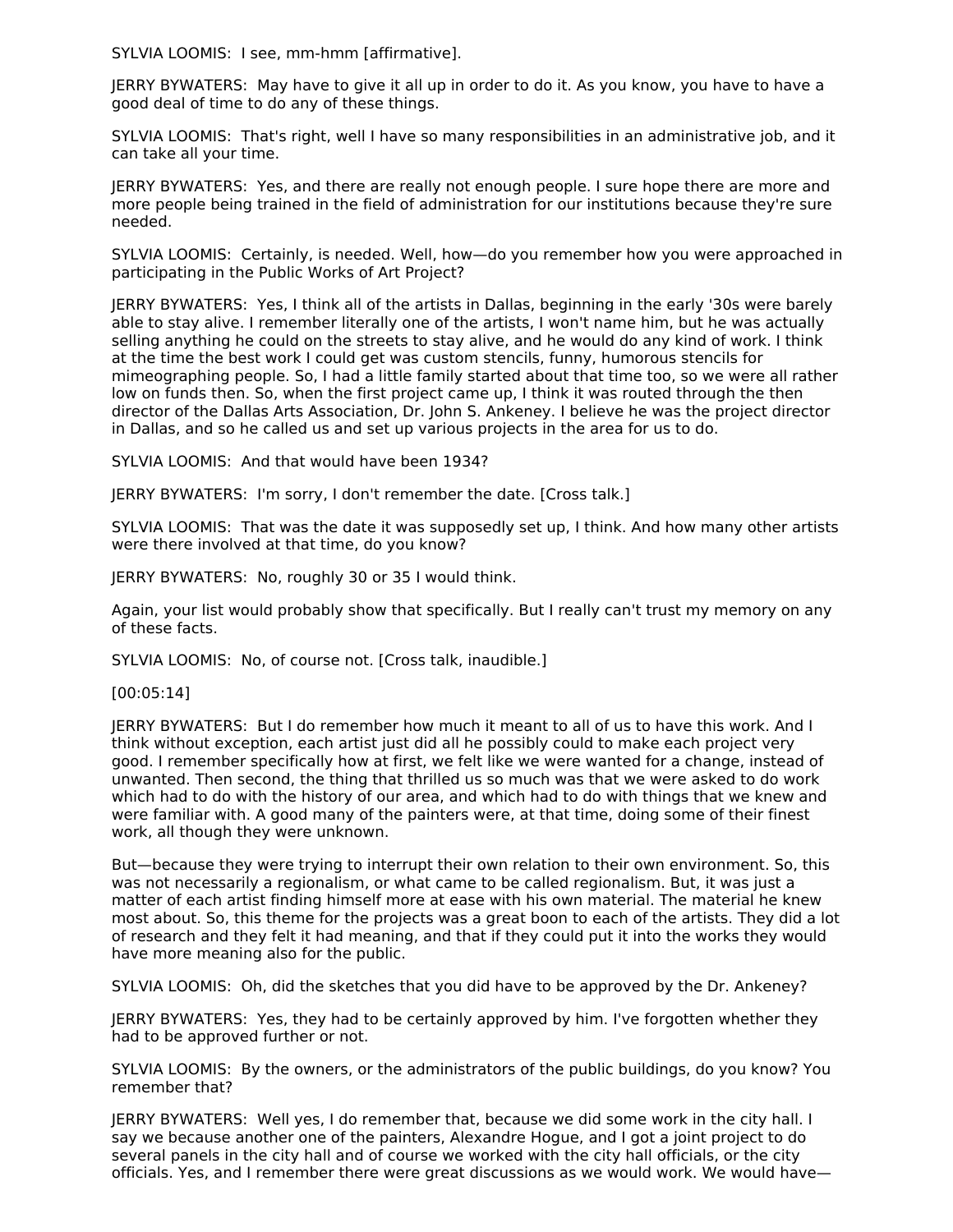SYLVIA LOOMIS: I see, mm-hmm [affirmative].

JERRY BYWATERS: May have to give it all up in order to do it. As you know, you have to have a good deal of time to do any of these things.

SYLVIA LOOMIS: That's right, well I have so many responsibilities in an administrative job, and it can take all your time.

JERRY BYWATERS: Yes, and there are really not enough people. I sure hope there are more and more people being trained in the field of administration for our institutions because they're sure needed.

SYLVIA LOOMIS: Certainly, is needed. Well, how—do you remember how you were approached in participating in the Public Works of Art Project?

JERRY BYWATERS: Yes, I think all of the artists in Dallas, beginning in the early '30s were barely able to stay alive. I remember literally one of the artists, I won't name him, but he was actually selling anything he could on the streets to stay alive, and he would do any kind of work. I think at the time the best work I could get was custom stencils, funny, humorous stencils for mimeographing people. So, I had a little family started about that time too, so we were all rather low on funds then. So, when the first project came up, I think it was routed through the then director of the Dallas Arts Association, Dr. John S. Ankeney. I believe he was the project director in Dallas, and so he called us and set up various projects in the area for us to do.

SYLVIA LOOMIS: And that would have been 1934?

JERRY BYWATERS: I'm sorry, I don't remember the date. [Cross talk.]

SYLVIA LOOMIS: That was the date it was supposedly set up, I think. And how many other artists were there involved at that time, do you know?

JERRY BYWATERS: No, roughly 30 or 35 I would think.

Again, your list would probably show that specifically. But I really can't trust my memory on any of these facts.

SYLVIA LOOMIS: No, of course not. [Cross talk, inaudible.]

[00:05:14]

JERRY BYWATERS: But I do remember how much it meant to all of us to have this work. And I think without exception, each artist just did all he possibly could to make each project very good. I remember specifically how at first, we felt like we were wanted for a change, instead of unwanted. Then second, the thing that thrilled us so much was that we were asked to do work which had to do with the history of our area, and which had to do with things that we knew and were familiar with. A good many of the painters were, at that time, doing some of their finest work, all though they were unknown.

But—because they were trying to interrupt their own relation to their own environment. So, this was not necessarily a regionalism, or what came to be called regionalism. But, it was just a matter of each artist finding himself more at ease with his own material. The material he knew most about. So, this theme for the projects was a great boon to each of the artists. They did a lot of research and they felt it had meaning, and that if they could put it into the works they would have more meaning also for the public.

SYLVIA LOOMIS: Oh, did the sketches that you did have to be approved by the Dr. Ankeney?

JERRY BYWATERS: Yes, they had to be certainly approved by him. I've forgotten whether they had to be approved further or not.

SYLVIA LOOMIS: By the owners, or the administrators of the public buildings, do you know? You remember that?

JERRY BYWATERS: Well yes, I do remember that, because we did some work in the city hall. I say we because another one of the painters, Alexandre Hogue, and I got a joint project to do several panels in the city hall and of course we worked with the city hall officials, or the city officials. Yes, and I remember there were great discussions as we would work. We would have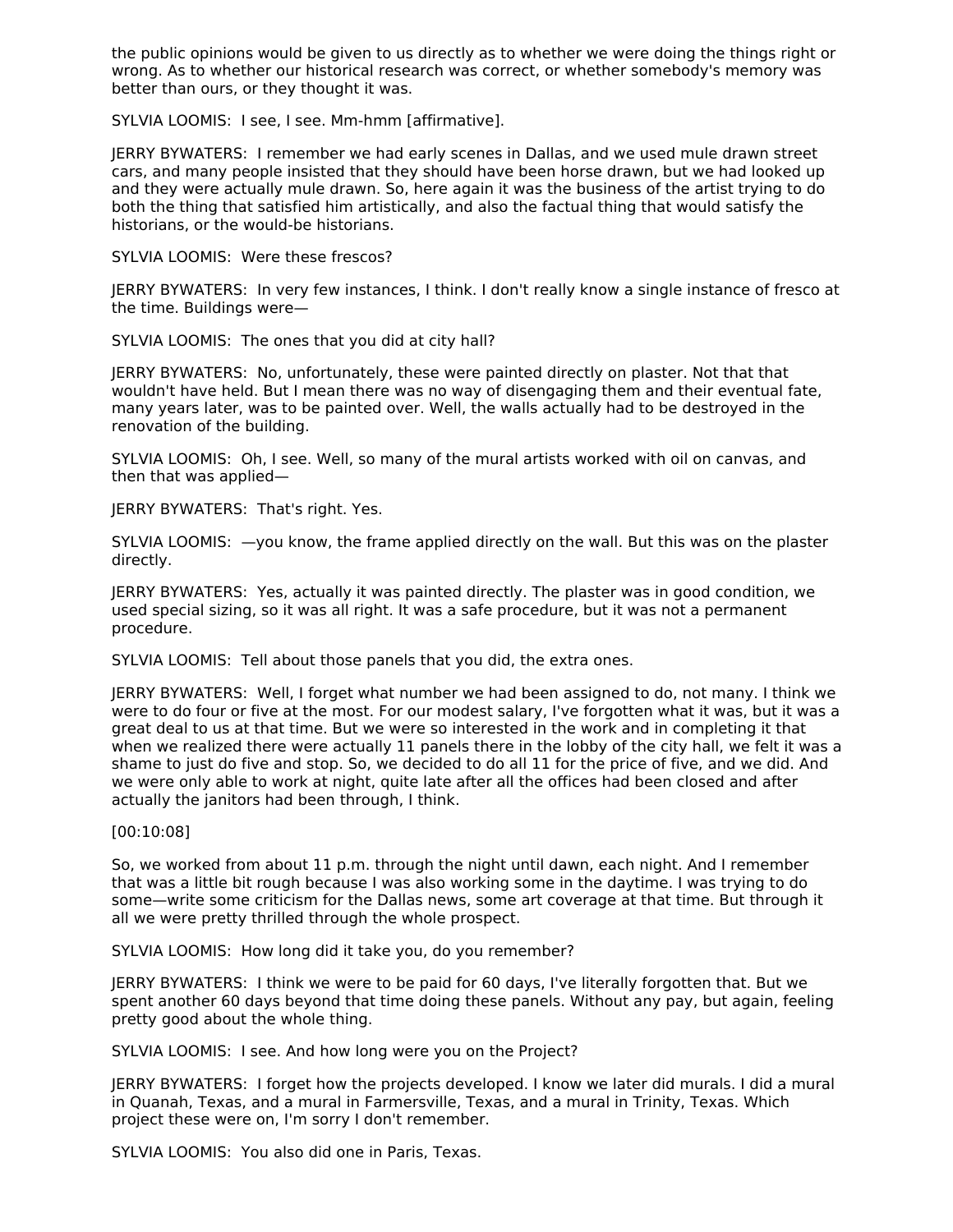the public opinions would be given to us directly as to whether we were doing the things right or wrong. As to whether our historical research was correct, or whether somebody's memory was better than ours, or they thought it was.

SYLVIA LOOMIS: I see, I see. Mm-hmm [affirmative].

JERRY BYWATERS: I remember we had early scenes in Dallas, and we used mule drawn street cars, and many people insisted that they should have been horse drawn, but we had looked up and they were actually mule drawn. So, here again it was the business of the artist trying to do both the thing that satisfied him artistically, and also the factual thing that would satisfy the historians, or the would-be historians.

SYLVIA LOOMIS: Were these frescos?

JERRY BYWATERS: In very few instances, I think. I don't really know a single instance of fresco at the time. Buildings were—

SYLVIA LOOMIS: The ones that you did at city hall?

JERRY BYWATERS: No, unfortunately, these were painted directly on plaster. Not that that wouldn't have held. But I mean there was no way of disengaging them and their eventual fate, many years later, was to be painted over. Well, the walls actually had to be destroyed in the renovation of the building.

SYLVIA LOOMIS: Oh, I see. Well, so many of the mural artists worked with oil on canvas, and then that was applied—

JERRY BYWATERS: That's right. Yes.

SYLVIA LOOMIS: —you know, the frame applied directly on the wall. But this was on the plaster directly.

JERRY BYWATERS: Yes, actually it was painted directly. The plaster was in good condition, we used special sizing, so it was all right. It was a safe procedure, but it was not a permanent procedure.

SYLVIA LOOMIS: Tell about those panels that you did, the extra ones.

JERRY BYWATERS: Well, I forget what number we had been assigned to do, not many. I think we were to do four or five at the most. For our modest salary, I've forgotten what it was, but it was a great deal to us at that time. But we were so interested in the work and in completing it that when we realized there were actually 11 panels there in the lobby of the city hall, we felt it was a shame to just do five and stop. So, we decided to do all 11 for the price of five, and we did. And we were only able to work at night, quite late after all the offices had been closed and after actually the janitors had been through, I think.

[00:10:08]

So, we worked from about 11 p.m. through the night until dawn, each night. And I remember that was a little bit rough because I was also working some in the daytime. I was trying to do some—write some criticism for the Dallas news, some art coverage at that time. But through it all we were pretty thrilled through the whole prospect.

SYLVIA LOOMIS: How long did it take you, do you remember?

JERRY BYWATERS: I think we were to be paid for 60 days, I've literally forgotten that. But we spent another 60 days beyond that time doing these panels. Without any pay, but again, feeling pretty good about the whole thing.

SYLVIA LOOMIS: I see. And how long were you on the Project?

JERRY BYWATERS: I forget how the projects developed. I know we later did murals. I did a mural in Quanah, Texas, and a mural in Farmersville, Texas, and a mural in Trinity, Texas. Which project these were on, I'm sorry I don't remember.

SYLVIA LOOMIS: You also did one in Paris, Texas.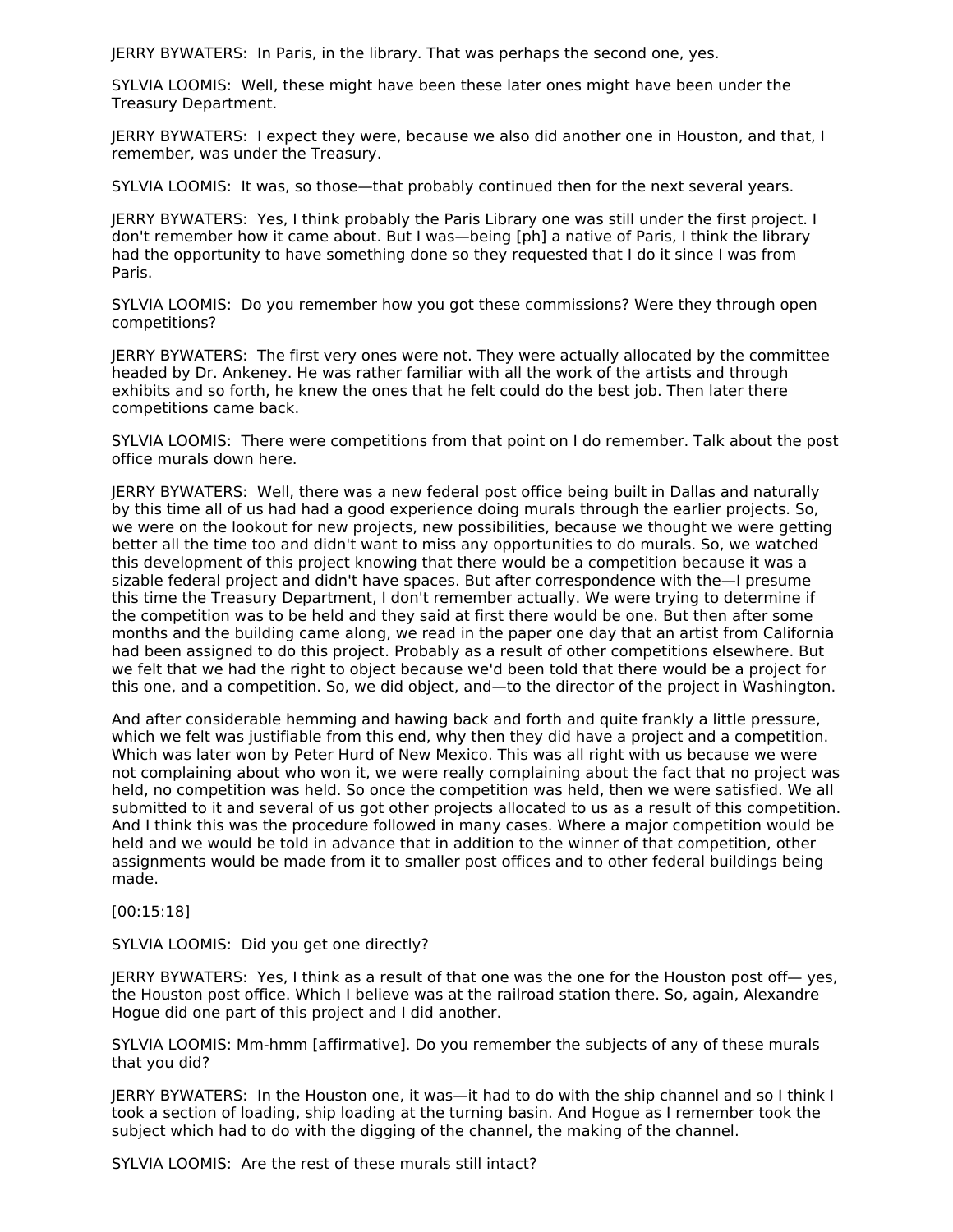JERRY BYWATERS: In Paris, in the library. That was perhaps the second one, yes.

SYLVIA LOOMIS: Well, these might have been these later ones might have been under the Treasury Department.

JERRY BYWATERS: I expect they were, because we also did another one in Houston, and that, I remember, was under the Treasury.

SYLVIA LOOMIS: It was, so those—that probably continued then for the next several years.

JERRY BYWATERS: Yes, I think probably the Paris Library one was still under the first project. I don't remember how it came about. But I was—being [ph] a native of Paris, I think the library had the opportunity to have something done so they requested that I do it since I was from Paris.

SYLVIA LOOMIS: Do you remember how you got these commissions? Were they through open competitions?

JERRY BYWATERS: The first very ones were not. They were actually allocated by the committee headed by Dr. Ankeney. He was rather familiar with all the work of the artists and through exhibits and so forth, he knew the ones that he felt could do the best job. Then later there competitions came back.

SYLVIA LOOMIS: There were competitions from that point on I do remember. Talk about the post office murals down here.

JERRY BYWATERS: Well, there was a new federal post office being built in Dallas and naturally by this time all of us had had a good experience doing murals through the earlier projects. So, we were on the lookout for new projects, new possibilities, because we thought we were getting better all the time too and didn't want to miss any opportunities to do murals. So, we watched this development of this project knowing that there would be a competition because it was a sizable federal project and didn't have spaces. But after correspondence with the—I presume this time the Treasury Department, I don't remember actually. We were trying to determine if the competition was to be held and they said at first there would be one. But then after some months and the building came along, we read in the paper one day that an artist from California had been assigned to do this project. Probably as a result of other competitions elsewhere. But we felt that we had the right to object because we'd been told that there would be a project for this one, and a competition. So, we did object, and—to the director of the project in Washington.

And after considerable hemming and hawing back and forth and quite frankly a little pressure, which we felt was justifiable from this end, why then they did have a project and a competition. Which was later won by Peter Hurd of New Mexico. This was all right with us because we were not complaining about who won it, we were really complaining about the fact that no project was held, no competition was held. So once the competition was held, then we were satisfied. We all submitted to it and several of us got other projects allocated to us as a result of this competition. And I think this was the procedure followed in many cases. Where a major competition would be held and we would be told in advance that in addition to the winner of that competition, other assignments would be made from it to smaller post offices and to other federal buildings being made.

[00:15:18]

SYLVIA LOOMIS: Did you get one directly?

JERRY BYWATERS: Yes, I think as a result of that one was the one for the Houston post off— yes, the Houston post office. Which I believe was at the railroad station there. So, again, Alexandre Hogue did one part of this project and I did another.

SYLVIA LOOMIS: Mm-hmm [affirmative]. Do you remember the subjects of any of these murals that you did?

JERRY BYWATERS: In the Houston one, it was—it had to do with the ship channel and so I think I took a section of loading, ship loading at the turning basin. And Hogue as I remember took the subject which had to do with the digging of the channel, the making of the channel.

SYLVIA LOOMIS: Are the rest of these murals still intact?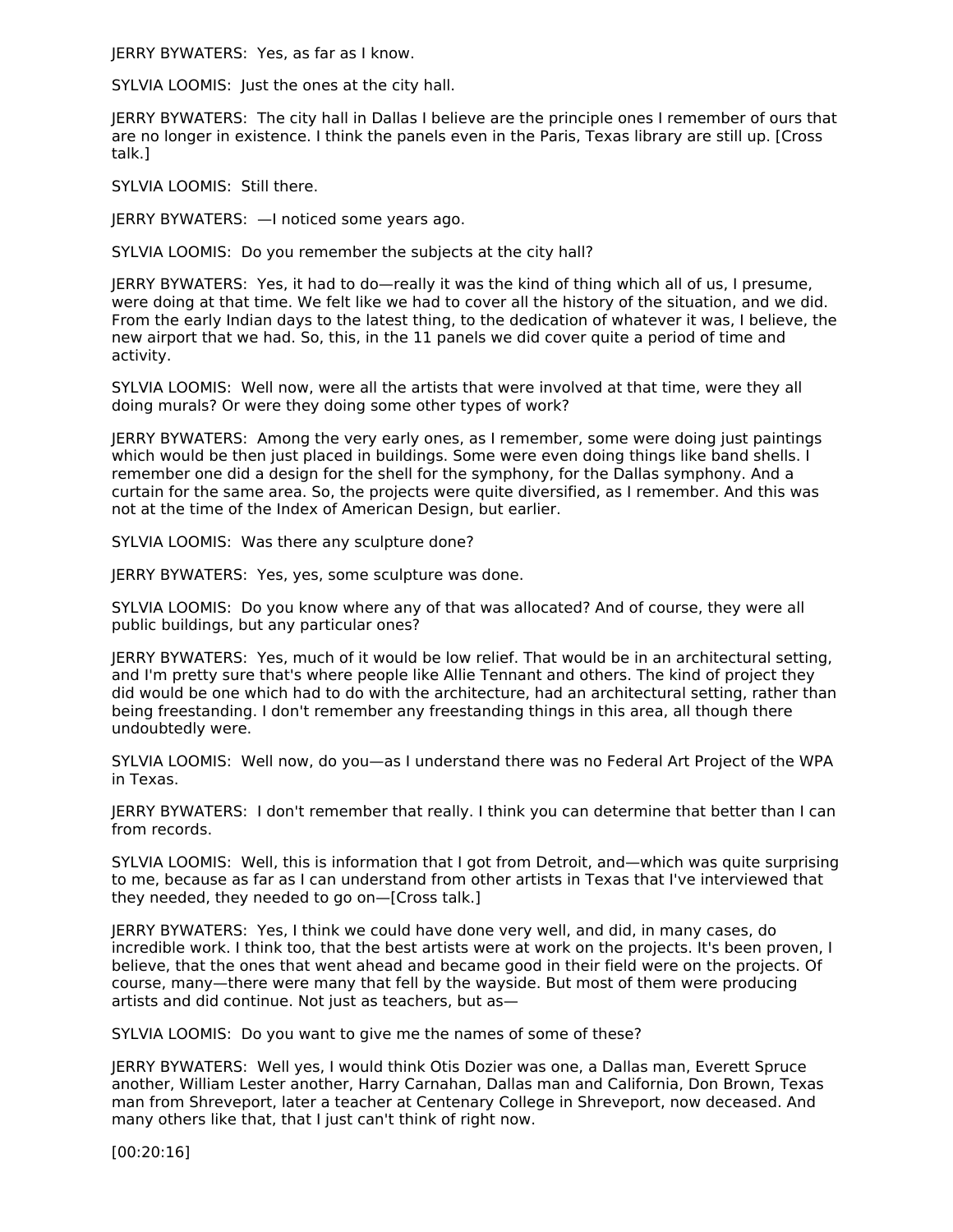JERRY BYWATERS: Yes, as far as I know.

SYLVIA LOOMIS: Just the ones at the city hall.

JERRY BYWATERS: The city hall in Dallas I believe are the principle ones I remember of ours that are no longer in existence. I think the panels even in the Paris, Texas library are still up. [Cross talk.]

SYLVIA LOOMIS: Still there.

JERRY BYWATERS: —I noticed some years ago.

SYLVIA LOOMIS: Do you remember the subjects at the city hall?

JERRY BYWATERS: Yes, it had to do—really it was the kind of thing which all of us, I presume, were doing at that time. We felt like we had to cover all the history of the situation, and we did. From the early Indian days to the latest thing, to the dedication of whatever it was, I believe, the new airport that we had. So, this, in the 11 panels we did cover quite a period of time and activity.

SYLVIA LOOMIS: Well now, were all the artists that were involved at that time, were they all doing murals? Or were they doing some other types of work?

JERRY BYWATERS: Among the very early ones, as I remember, some were doing just paintings which would be then just placed in buildings. Some were even doing things like band shells. I remember one did a design for the shell for the symphony, for the Dallas symphony. And a curtain for the same area. So, the projects were quite diversified, as I remember. And this was not at the time of the Index of American Design, but earlier.

SYLVIA LOOMIS: Was there any sculpture done?

JERRY BYWATERS: Yes, yes, some sculpture was done.

SYLVIA LOOMIS: Do you know where any of that was allocated? And of course, they were all public buildings, but any particular ones?

JERRY BYWATERS: Yes, much of it would be low relief. That would be in an architectural setting, and I'm pretty sure that's where people like Allie Tennant and others. The kind of project they did would be one which had to do with the architecture, had an architectural setting, rather than being freestanding. I don't remember any freestanding things in this area, all though there undoubtedly were.

SYLVIA LOOMIS: Well now, do you—as I understand there was no Federal Art Project of the WPA in Texas.

JERRY BYWATERS: I don't remember that really. I think you can determine that better than I can from records.

SYLVIA LOOMIS: Well, this is information that I got from Detroit, and—which was quite surprising to me, because as far as I can understand from other artists in Texas that I've interviewed that they needed, they needed to go on—[Cross talk.]

JERRY BYWATERS: Yes, I think we could have done very well, and did, in many cases, do incredible work. I think too, that the best artists were at work on the projects. It's been proven, I believe, that the ones that went ahead and became good in their field were on the projects. Of course, many—there were many that fell by the wayside. But most of them were producing artists and did continue. Not just as teachers, but as—

SYLVIA LOOMIS: Do you want to give me the names of some of these?

JERRY BYWATERS: Well yes, I would think Otis Dozier was one, a Dallas man, Everett Spruce another, William Lester another, Harry Carnahan, Dallas man and California, Don Brown, Texas man from Shreveport, later a teacher at Centenary College in Shreveport, now deceased. And many others like that, that I just can't think of right now.

[00:20:16]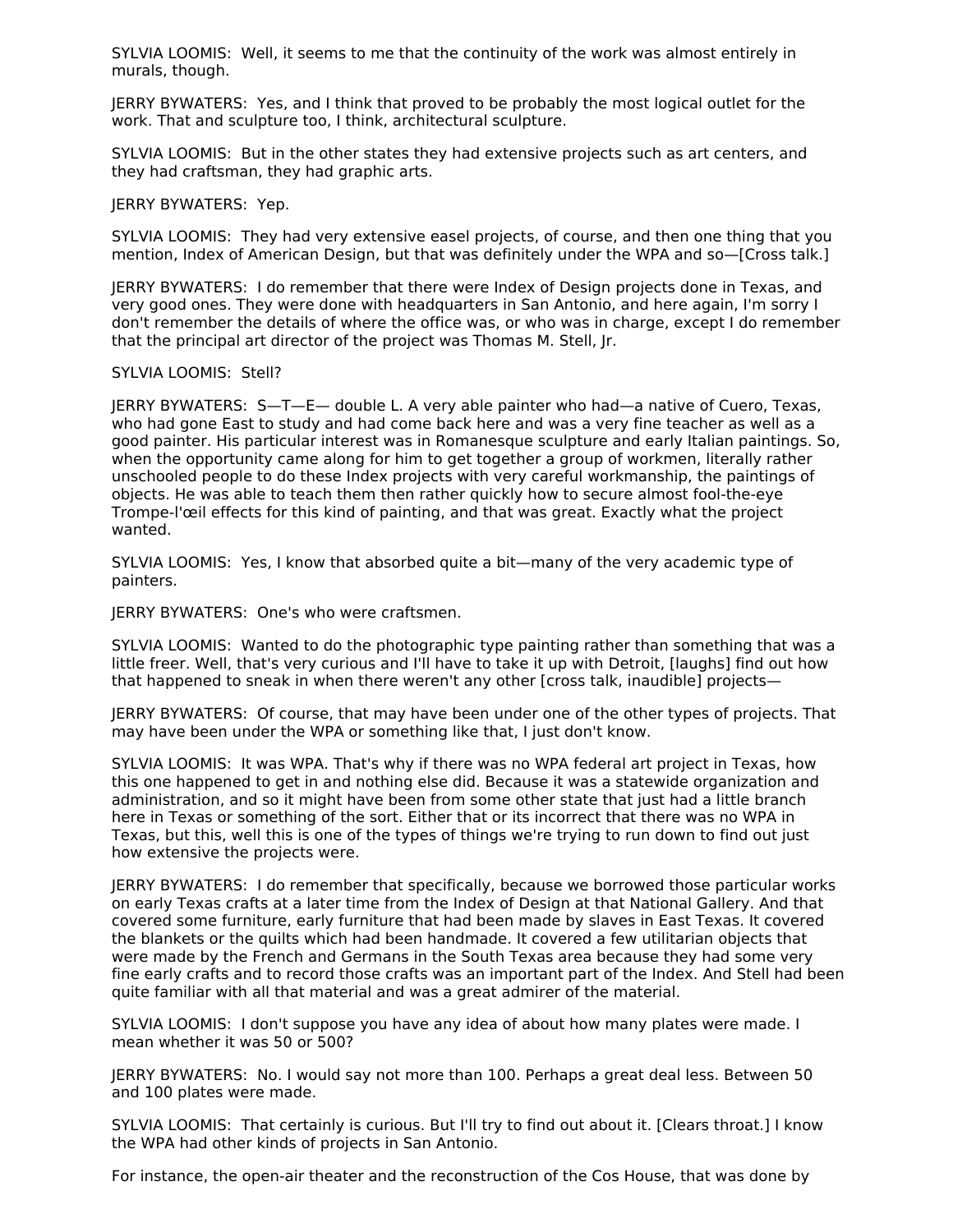SYLVIA LOOMIS: Well, it seems to me that the continuity of the work was almost entirely in murals, though.

JERRY BYWATERS: Yes, and I think that proved to be probably the most logical outlet for the work. That and sculpture too, I think, architectural sculpture.

SYLVIA LOOMIS: But in the other states they had extensive projects such as art centers, and they had craftsman, they had graphic arts.

JERRY BYWATERS: Yep.

SYLVIA LOOMIS: They had very extensive easel projects, of course, and then one thing that you mention, Index of American Design, but that was definitely under the WPA and so—[Cross talk.]

JERRY BYWATERS: I do remember that there were Index of Design projects done in Texas, and very good ones. They were done with headquarters in San Antonio, and here again, I'm sorry I don't remember the details of where the office was, or who was in charge, except I do remember that the principal art director of the project was Thomas M. Stell, Jr.

#### SYLVIA LOOMIS: Stell?

JERRY BYWATERS: S—T—E— double L. A very able painter who had—a native of Cuero, Texas, who had gone East to study and had come back here and was a very fine teacher as well as a good painter. His particular interest was in Romanesque sculpture and early Italian paintings. So, when the opportunity came along for him to get together a group of workmen, literally rather unschooled people to do these Index projects with very careful workmanship, the paintings of objects. He was able to teach them then rather quickly how to secure almost fool-the-eye Trompe-l'œil effects for this kind of painting, and that was great. Exactly what the project wanted.

SYLVIA LOOMIS: Yes, I know that absorbed quite a bit—many of the very academic type of painters.

JERRY BYWATERS: One's who were craftsmen.

SYLVIA LOOMIS: Wanted to do the photographic type painting rather than something that was a little freer. Well, that's very curious and I'll have to take it up with Detroit, [laughs] find out how that happened to sneak in when there weren't any other [cross talk, inaudible] projects—

JERRY BYWATERS: Of course, that may have been under one of the other types of projects. That may have been under the WPA or something like that, I just don't know.

SYLVIA LOOMIS: It was WPA. That's why if there was no WPA federal art project in Texas, how this one happened to get in and nothing else did. Because it was a statewide organization and administration, and so it might have been from some other state that just had a little branch here in Texas or something of the sort. Either that or its incorrect that there was no WPA in Texas, but this, well this is one of the types of things we're trying to run down to find out just how extensive the projects were.

JERRY BYWATERS: I do remember that specifically, because we borrowed those particular works on early Texas crafts at a later time from the Index of Design at that National Gallery. And that covered some furniture, early furniture that had been made by slaves in East Texas. It covered the blankets or the quilts which had been handmade. It covered a few utilitarian objects that were made by the French and Germans in the South Texas area because they had some very fine early crafts and to record those crafts was an important part of the Index. And Stell had been quite familiar with all that material and was a great admirer of the material.

SYLVIA LOOMIS: I don't suppose you have any idea of about how many plates were made. I mean whether it was 50 or 500?

JERRY BYWATERS: No. I would say not more than 100. Perhaps a great deal less. Between 50 and 100 plates were made.

SYLVIA LOOMIS: That certainly is curious. But I'll try to find out about it. [Clears throat.] I know the WPA had other kinds of projects in San Antonio.

For instance, the open-air theater and the reconstruction of the Cos House, that was done by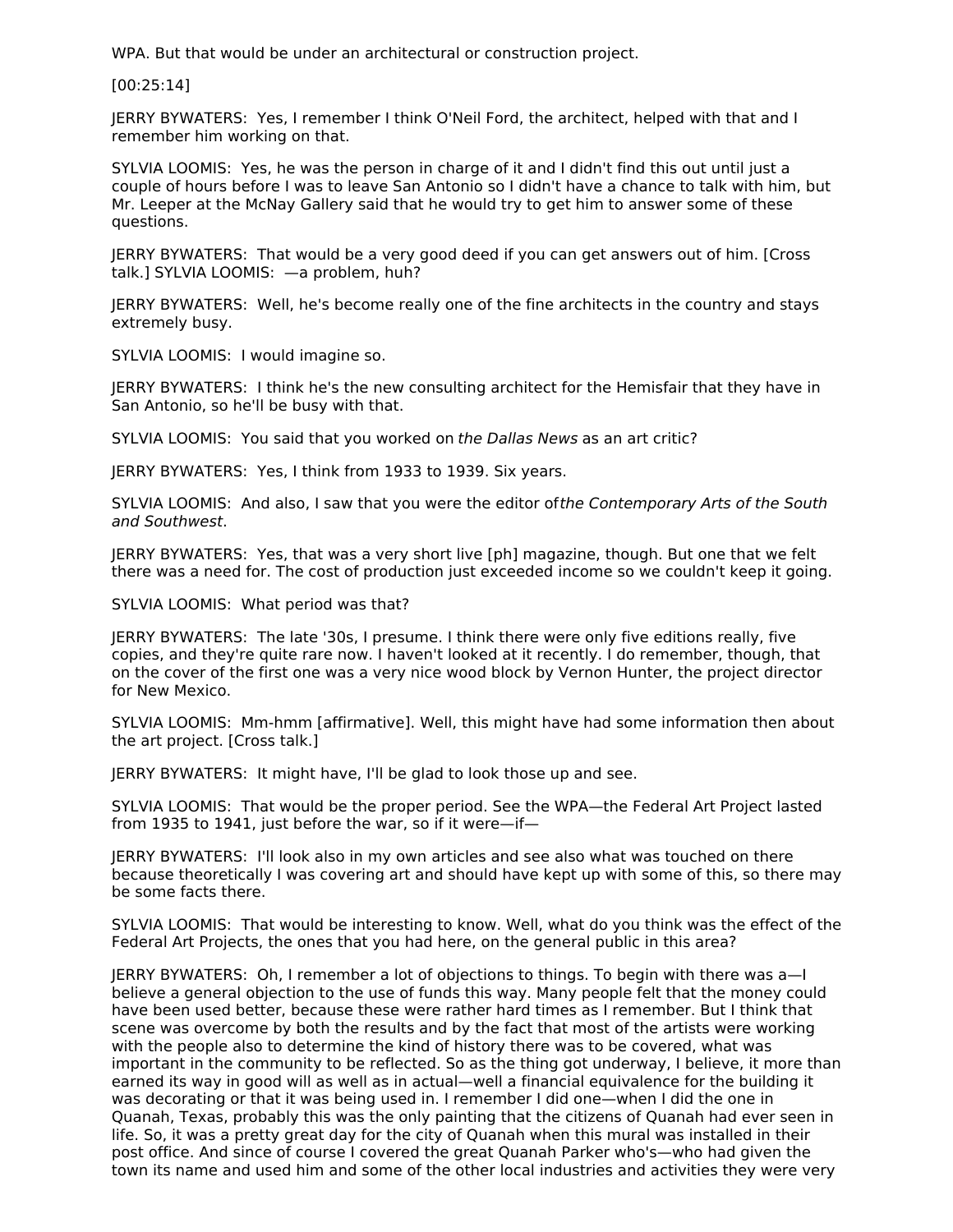WPA. But that would be under an architectural or construction project.

[00:25:14]

JERRY BYWATERS: Yes, I remember I think O'Neil Ford, the architect, helped with that and I remember him working on that.

SYLVIA LOOMIS: Yes, he was the person in charge of it and I didn't find this out until just a couple of hours before I was to leave San Antonio so I didn't have a chance to talk with him, but Mr. Leeper at the McNay Gallery said that he would try to get him to answer some of these questions.

JERRY BYWATERS: That would be a very good deed if you can get answers out of him. [Cross talk.] SYLVIA LOOMIS: —a problem, huh?

JERRY BYWATERS: Well, he's become really one of the fine architects in the country and stays extremely busy.

SYLVIA LOOMIS: I would imagine so.

JERRY BYWATERS: I think he's the new consulting architect for the Hemisfair that they have in San Antonio, so he'll be busy with that.

SYLVIA LOOMIS: You said that you worked on the Dallas News as an art critic?

JERRY BYWATERS: Yes, I think from 1933 to 1939. Six years.

SYLVIA LOOMIS: And also, I saw that you were the editor ofthe Contemporary Arts of the South and Southwest.

JERRY BYWATERS: Yes, that was a very short live [ph] magazine, though. But one that we felt there was a need for. The cost of production just exceeded income so we couldn't keep it going.

SYLVIA LOOMIS: What period was that?

JERRY BYWATERS: The late '30s, I presume. I think there were only five editions really, five copies, and they're quite rare now. I haven't looked at it recently. I do remember, though, that on the cover of the first one was a very nice wood block by Vernon Hunter, the project director for New Mexico.

SYLVIA LOOMIS: Mm-hmm [affirmative]. Well, this might have had some information then about the art project. [Cross talk.]

JERRY BYWATERS: It might have, I'll be glad to look those up and see.

SYLVIA LOOMIS: That would be the proper period. See the WPA—the Federal Art Project lasted from 1935 to 1941, just before the war, so if it were—if—

JERRY BYWATERS: I'll look also in my own articles and see also what was touched on there because theoretically I was covering art and should have kept up with some of this, so there may be some facts there.

SYLVIA LOOMIS: That would be interesting to know. Well, what do you think was the effect of the Federal Art Projects, the ones that you had here, on the general public in this area?

JERRY BYWATERS: Oh, I remember a lot of objections to things. To begin with there was a—I believe a general objection to the use of funds this way. Many people felt that the money could have been used better, because these were rather hard times as I remember. But I think that scene was overcome by both the results and by the fact that most of the artists were working with the people also to determine the kind of history there was to be covered, what was important in the community to be reflected. So as the thing got underway, I believe, it more than earned its way in good will as well as in actual—well a financial equivalence for the building it was decorating or that it was being used in. I remember I did one—when I did the one in Quanah, Texas, probably this was the only painting that the citizens of Quanah had ever seen in life. So, it was a pretty great day for the city of Quanah when this mural was installed in their post office. And since of course I covered the great Quanah Parker who's—who had given the town its name and used him and some of the other local industries and activities they were very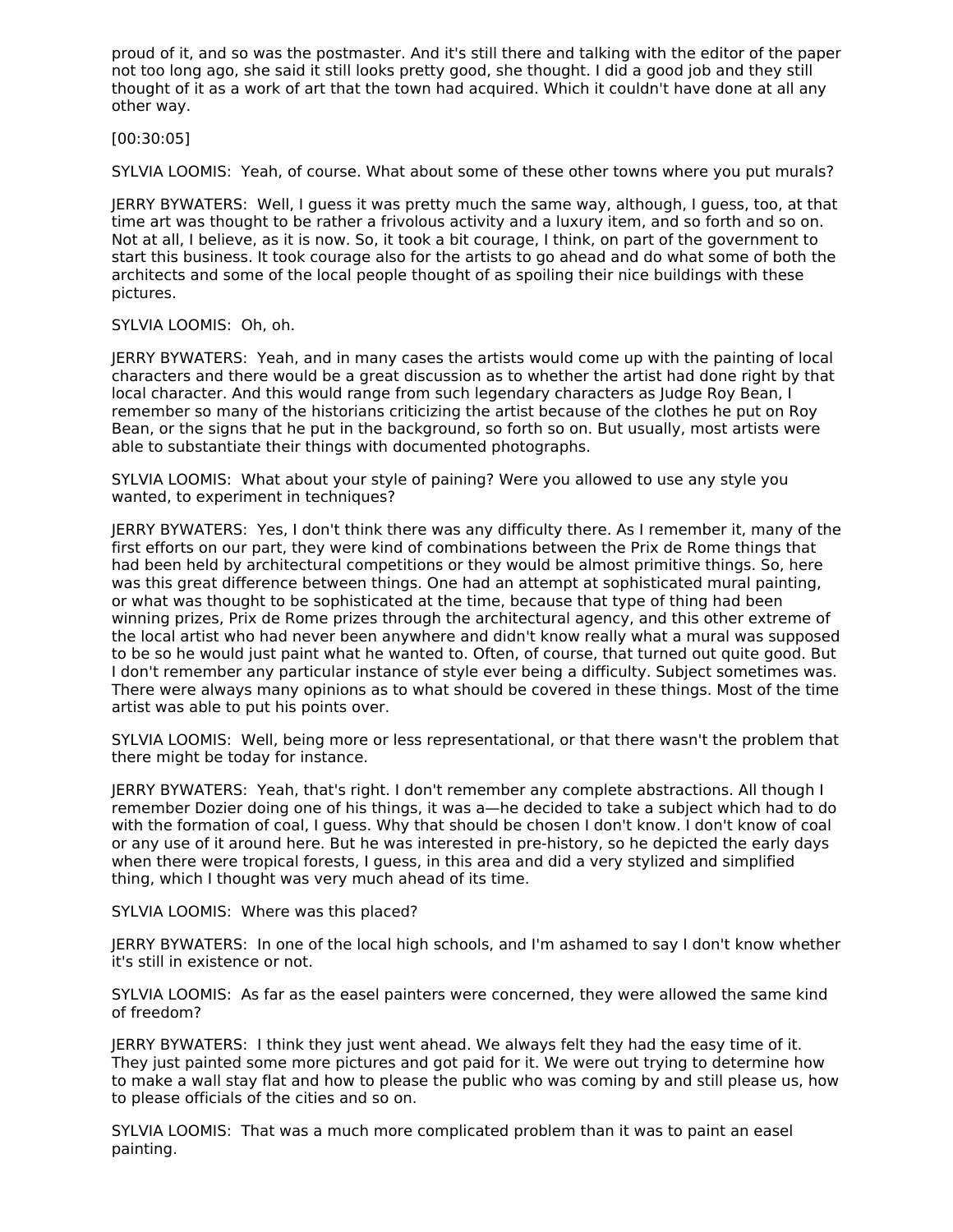proud of it, and so was the postmaster. And it's still there and talking with the editor of the paper not too long ago, she said it still looks pretty good, she thought. I did a good job and they still thought of it as a work of art that the town had acquired. Which it couldn't have done at all any other way.

[00:30:05]

SYLVIA LOOMIS: Yeah, of course. What about some of these other towns where you put murals?

JERRY BYWATERS: Well, I guess it was pretty much the same way, although, I guess, too, at that time art was thought to be rather a frivolous activity and a luxury item, and so forth and so on. Not at all, I believe, as it is now. So, it took a bit courage, I think, on part of the government to start this business. It took courage also for the artists to go ahead and do what some of both the architects and some of the local people thought of as spoiling their nice buildings with these pictures.

SYLVIA LOOMIS: Oh, oh.

JERRY BYWATERS: Yeah, and in many cases the artists would come up with the painting of local characters and there would be a great discussion as to whether the artist had done right by that local character. And this would range from such legendary characters as Judge Roy Bean, I remember so many of the historians criticizing the artist because of the clothes he put on Roy Bean, or the signs that he put in the background, so forth so on. But usually, most artists were able to substantiate their things with documented photographs.

SYLVIA LOOMIS: What about your style of paining? Were you allowed to use any style you wanted, to experiment in techniques?

JERRY BYWATERS: Yes, I don't think there was any difficulty there. As I remember it, many of the first efforts on our part, they were kind of combinations between the Prix de Rome things that had been held by architectural competitions or they would be almost primitive things. So, here was this great difference between things. One had an attempt at sophisticated mural painting, or what was thought to be sophisticated at the time, because that type of thing had been winning prizes, Prix de Rome prizes through the architectural agency, and this other extreme of the local artist who had never been anywhere and didn't know really what a mural was supposed to be so he would just paint what he wanted to. Often, of course, that turned out quite good. But I don't remember any particular instance of style ever being a difficulty. Subject sometimes was. There were always many opinions as to what should be covered in these things. Most of the time artist was able to put his points over.

SYLVIA LOOMIS: Well, being more or less representational, or that there wasn't the problem that there might be today for instance.

JERRY BYWATERS: Yeah, that's right. I don't remember any complete abstractions. All though I remember Dozier doing one of his things, it was a—he decided to take a subject which had to do with the formation of coal, I guess. Why that should be chosen I don't know. I don't know of coal or any use of it around here. But he was interested in pre-history, so he depicted the early days when there were tropical forests, I guess, in this area and did a very stylized and simplified thing, which I thought was very much ahead of its time.

SYLVIA LOOMIS: Where was this placed?

JERRY BYWATERS: In one of the local high schools, and I'm ashamed to say I don't know whether it's still in existence or not.

SYLVIA LOOMIS: As far as the easel painters were concerned, they were allowed the same kind of freedom?

JERRY BYWATERS: I think they just went ahead. We always felt they had the easy time of it. They just painted some more pictures and got paid for it. We were out trying to determine how to make a wall stay flat and how to please the public who was coming by and still please us, how to please officials of the cities and so on.

SYLVIA LOOMIS: That was a much more complicated problem than it was to paint an easel painting.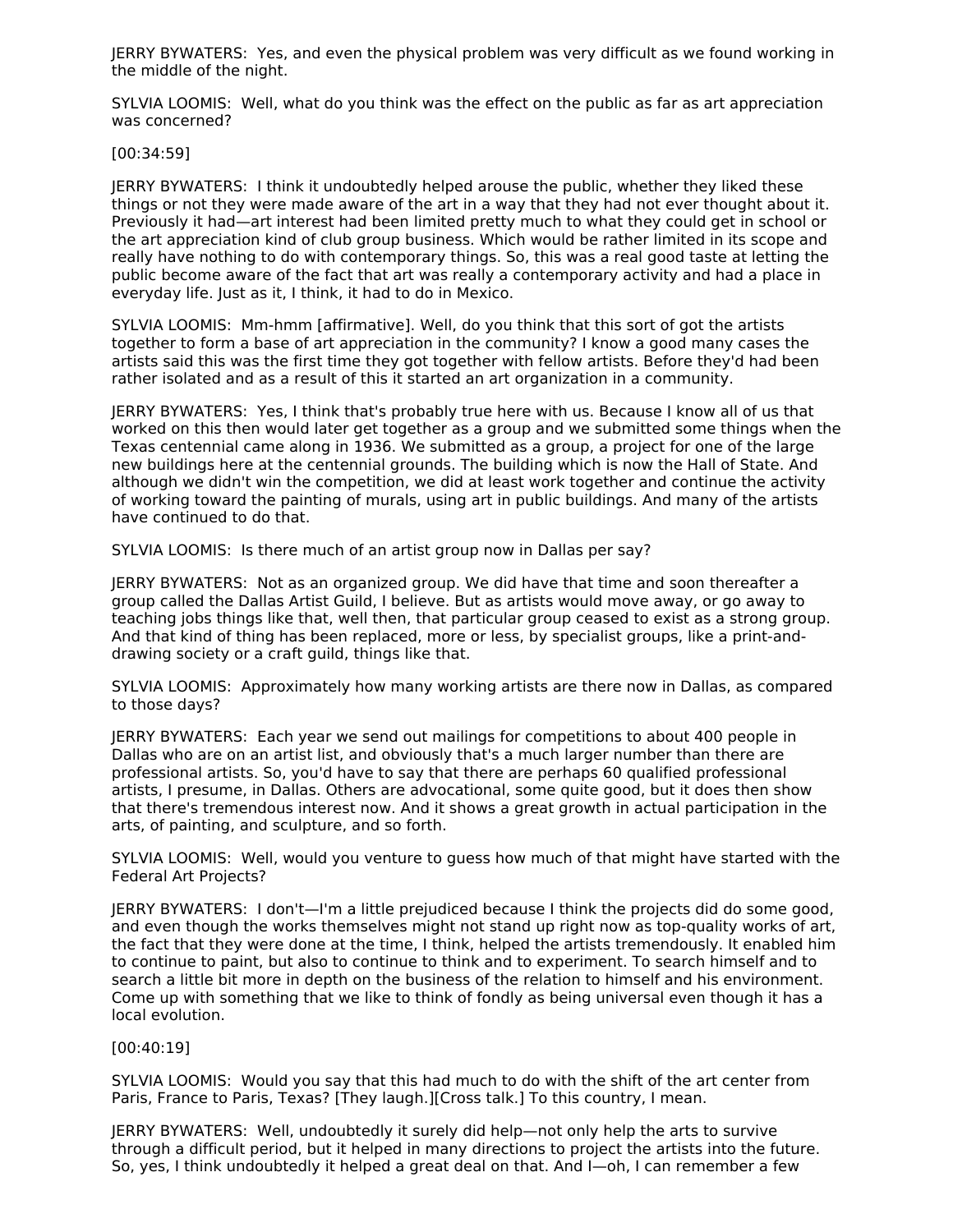JERRY BYWATERS: Yes, and even the physical problem was very difficult as we found working in the middle of the night.

SYLVIA LOOMIS: Well, what do you think was the effect on the public as far as art appreciation was concerned?

[00:34:59]

JERRY BYWATERS: I think it undoubtedly helped arouse the public, whether they liked these things or not they were made aware of the art in a way that they had not ever thought about it. Previously it had—art interest had been limited pretty much to what they could get in school or the art appreciation kind of club group business. Which would be rather limited in its scope and really have nothing to do with contemporary things. So, this was a real good taste at letting the public become aware of the fact that art was really a contemporary activity and had a place in everyday life. Just as it, I think, it had to do in Mexico.

SYLVIA LOOMIS: Mm-hmm [affirmative]. Well, do you think that this sort of got the artists together to form a base of art appreciation in the community? I know a good many cases the artists said this was the first time they got together with fellow artists. Before they'd had been rather isolated and as a result of this it started an art organization in a community.

JERRY BYWATERS: Yes, I think that's probably true here with us. Because I know all of us that worked on this then would later get together as a group and we submitted some things when the Texas centennial came along in 1936. We submitted as a group, a project for one of the large new buildings here at the centennial grounds. The building which is now the Hall of State. And although we didn't win the competition, we did at least work together and continue the activity of working toward the painting of murals, using art in public buildings. And many of the artists have continued to do that.

SYLVIA LOOMIS: Is there much of an artist group now in Dallas per say?

JERRY BYWATERS: Not as an organized group. We did have that time and soon thereafter a group called the Dallas Artist Guild, I believe. But as artists would move away, or go away to teaching jobs things like that, well then, that particular group ceased to exist as a strong group. And that kind of thing has been replaced, more or less, by specialist groups, like a print-anddrawing society or a craft guild, things like that.

SYLVIA LOOMIS: Approximately how many working artists are there now in Dallas, as compared to those days?

JERRY BYWATERS: Each year we send out mailings for competitions to about 400 people in Dallas who are on an artist list, and obviously that's a much larger number than there are professional artists. So, you'd have to say that there are perhaps 60 qualified professional artists, I presume, in Dallas. Others are advocational, some quite good, but it does then show that there's tremendous interest now. And it shows a great growth in actual participation in the arts, of painting, and sculpture, and so forth.

SYLVIA LOOMIS: Well, would you venture to guess how much of that might have started with the Federal Art Projects?

JERRY BYWATERS: I don't—I'm a little prejudiced because I think the projects did do some good, and even though the works themselves might not stand up right now as top-quality works of art, the fact that they were done at the time, I think, helped the artists tremendously. It enabled him to continue to paint, but also to continue to think and to experiment. To search himself and to search a little bit more in depth on the business of the relation to himself and his environment. Come up with something that we like to think of fondly as being universal even though it has a local evolution.

[00:40:19]

SYLVIA LOOMIS: Would you say that this had much to do with the shift of the art center from Paris, France to Paris, Texas? [They laugh.][Cross talk.] To this country, I mean.

JERRY BYWATERS: Well, undoubtedly it surely did help—not only help the arts to survive through a difficult period, but it helped in many directions to project the artists into the future. So, yes, I think undoubtedly it helped a great deal on that. And I—oh, I can remember a few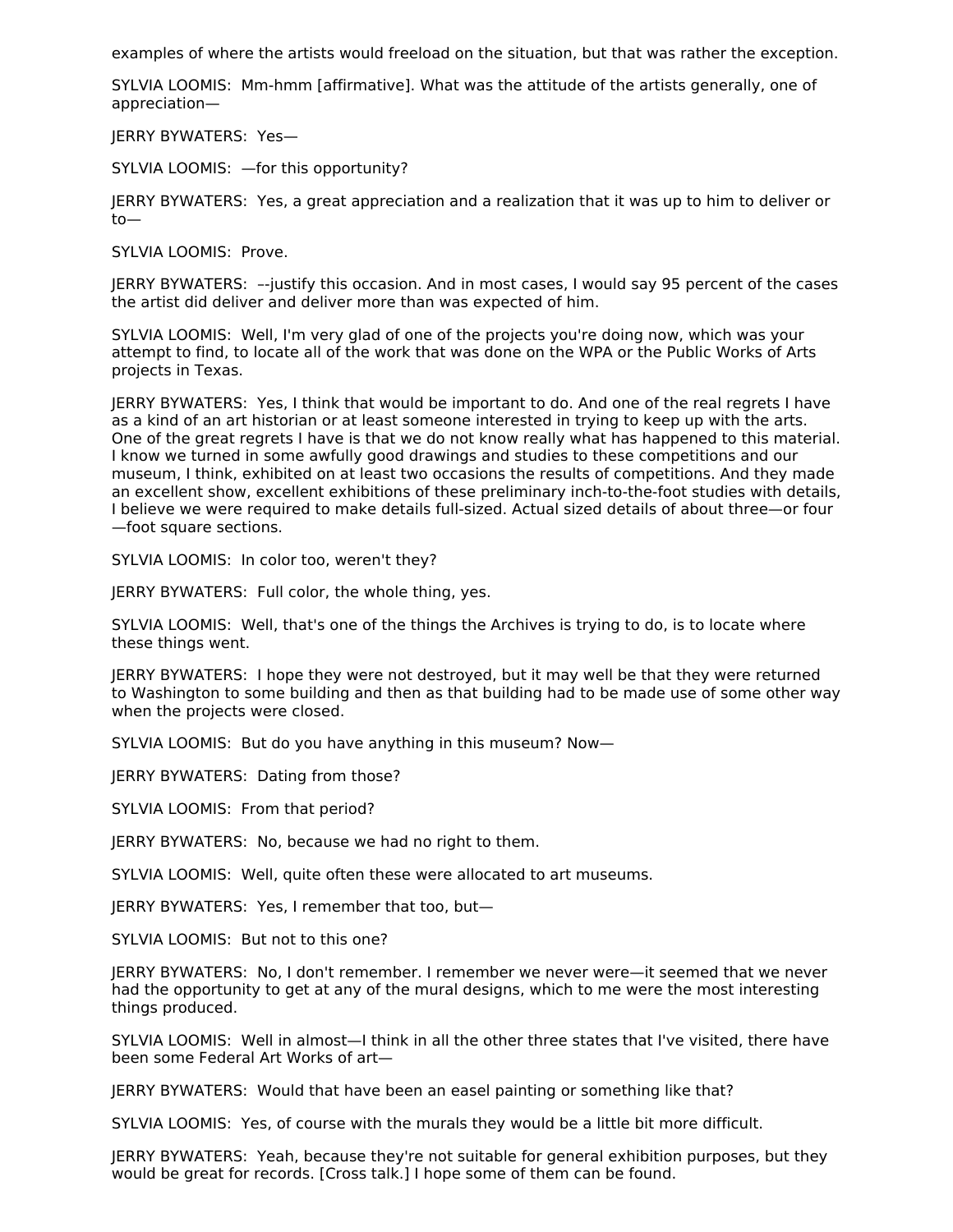examples of where the artists would freeload on the situation, but that was rather the exception.

SYLVIA LOOMIS: Mm-hmm [affirmative]. What was the attitude of the artists generally, one of appreciation—

JERRY BYWATERS: Yes—

SYLVIA LOOMIS: —for this opportunity?

JERRY BYWATERS: Yes, a great appreciation and a realization that it was up to him to deliver or to—

SYLVIA LOOMIS: Prove.

JERRY BYWATERS: –-justify this occasion. And in most cases, I would say 95 percent of the cases the artist did deliver and deliver more than was expected of him.

SYLVIA LOOMIS: Well, I'm very glad of one of the projects you're doing now, which was your attempt to find, to locate all of the work that was done on the WPA or the Public Works of Arts projects in Texas.

JERRY BYWATERS: Yes, I think that would be important to do. And one of the real regrets I have as a kind of an art historian or at least someone interested in trying to keep up with the arts. One of the great regrets I have is that we do not know really what has happened to this material. I know we turned in some awfully good drawings and studies to these competitions and our museum, I think, exhibited on at least two occasions the results of competitions. And they made an excellent show, excellent exhibitions of these preliminary inch-to-the-foot studies with details, I believe we were required to make details full-sized. Actual sized details of about three—or four —foot square sections.

SYLVIA LOOMIS: In color too, weren't they?

JERRY BYWATERS: Full color, the whole thing, yes.

SYLVIA LOOMIS: Well, that's one of the things the Archives is trying to do, is to locate where these things went.

JERRY BYWATERS: I hope they were not destroyed, but it may well be that they were returned to Washington to some building and then as that building had to be made use of some other way when the projects were closed.

SYLVIA LOOMIS: But do you have anything in this museum? Now—

JERRY BYWATERS: Dating from those?

SYLVIA LOOMIS: From that period?

JERRY BYWATERS: No, because we had no right to them.

SYLVIA LOOMIS: Well, quite often these were allocated to art museums.

JERRY BYWATERS: Yes, I remember that too, but—

SYLVIA LOOMIS: But not to this one?

JERRY BYWATERS: No, I don't remember. I remember we never were—it seemed that we never had the opportunity to get at any of the mural designs, which to me were the most interesting things produced.

SYLVIA LOOMIS: Well in almost—I think in all the other three states that I've visited, there have been some Federal Art Works of art—

JERRY BYWATERS: Would that have been an easel painting or something like that?

SYLVIA LOOMIS: Yes, of course with the murals they would be a little bit more difficult.

JERRY BYWATERS: Yeah, because they're not suitable for general exhibition purposes, but they would be great for records. [Cross talk.] I hope some of them can be found.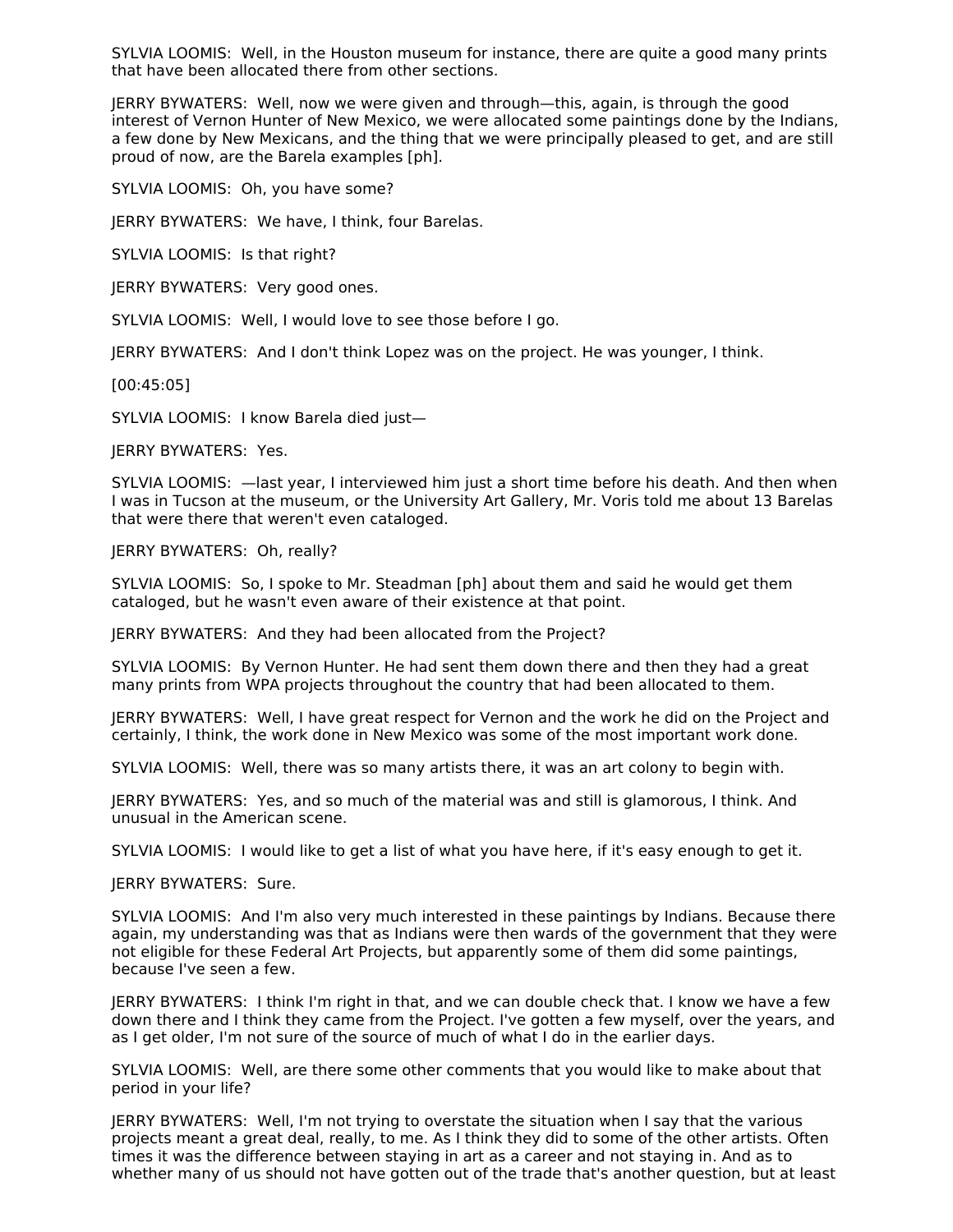SYLVIA LOOMIS: Well, in the Houston museum for instance, there are quite a good many prints that have been allocated there from other sections.

JERRY BYWATERS: Well, now we were given and through—this, again, is through the good interest of Vernon Hunter of New Mexico, we were allocated some paintings done by the Indians, a few done by New Mexicans, and the thing that we were principally pleased to get, and are still proud of now, are the Barela examples [ph].

SYLVIA LOOMIS: Oh, you have some?

JERRY BYWATERS: We have, I think, four Barelas.

SYLVIA LOOMIS: Is that right?

JERRY BYWATERS: Very good ones.

SYLVIA LOOMIS: Well, I would love to see those before I go.

JERRY BYWATERS: And I don't think Lopez was on the project. He was younger, I think.

[00:45:05]

SYLVIA LOOMIS: I know Barela died just—

JERRY BYWATERS: Yes.

SYLVIA LOOMIS: —last year, I interviewed him just a short time before his death. And then when I was in Tucson at the museum, or the University Art Gallery, Mr. Voris told me about 13 Barelas that were there that weren't even cataloged.

JERRY BYWATERS: Oh, really?

SYLVIA LOOMIS: So, I spoke to Mr. Steadman [ph] about them and said he would get them cataloged, but he wasn't even aware of their existence at that point.

JERRY BYWATERS: And they had been allocated from the Project?

SYLVIA LOOMIS: By Vernon Hunter. He had sent them down there and then they had a great many prints from WPA projects throughout the country that had been allocated to them.

JERRY BYWATERS: Well, I have great respect for Vernon and the work he did on the Project and certainly, I think, the work done in New Mexico was some of the most important work done.

SYLVIA LOOMIS: Well, there was so many artists there, it was an art colony to begin with.

JERRY BYWATERS: Yes, and so much of the material was and still is glamorous, I think. And unusual in the American scene.

SYLVIA LOOMIS: I would like to get a list of what you have here, if it's easy enough to get it.

JERRY BYWATERS: Sure.

SYLVIA LOOMIS: And I'm also very much interested in these paintings by Indians. Because there again, my understanding was that as Indians were then wards of the government that they were not eligible for these Federal Art Projects, but apparently some of them did some paintings, because I've seen a few.

JERRY BYWATERS: I think I'm right in that, and we can double check that. I know we have a few down there and I think they came from the Project. I've gotten a few myself, over the years, and as I get older, I'm not sure of the source of much of what I do in the earlier days.

SYLVIA LOOMIS: Well, are there some other comments that you would like to make about that period in your life?

JERRY BYWATERS: Well, I'm not trying to overstate the situation when I say that the various projects meant a great deal, really, to me. As I think they did to some of the other artists. Often times it was the difference between staying in art as a career and not staying in. And as to whether many of us should not have gotten out of the trade that's another question, but at least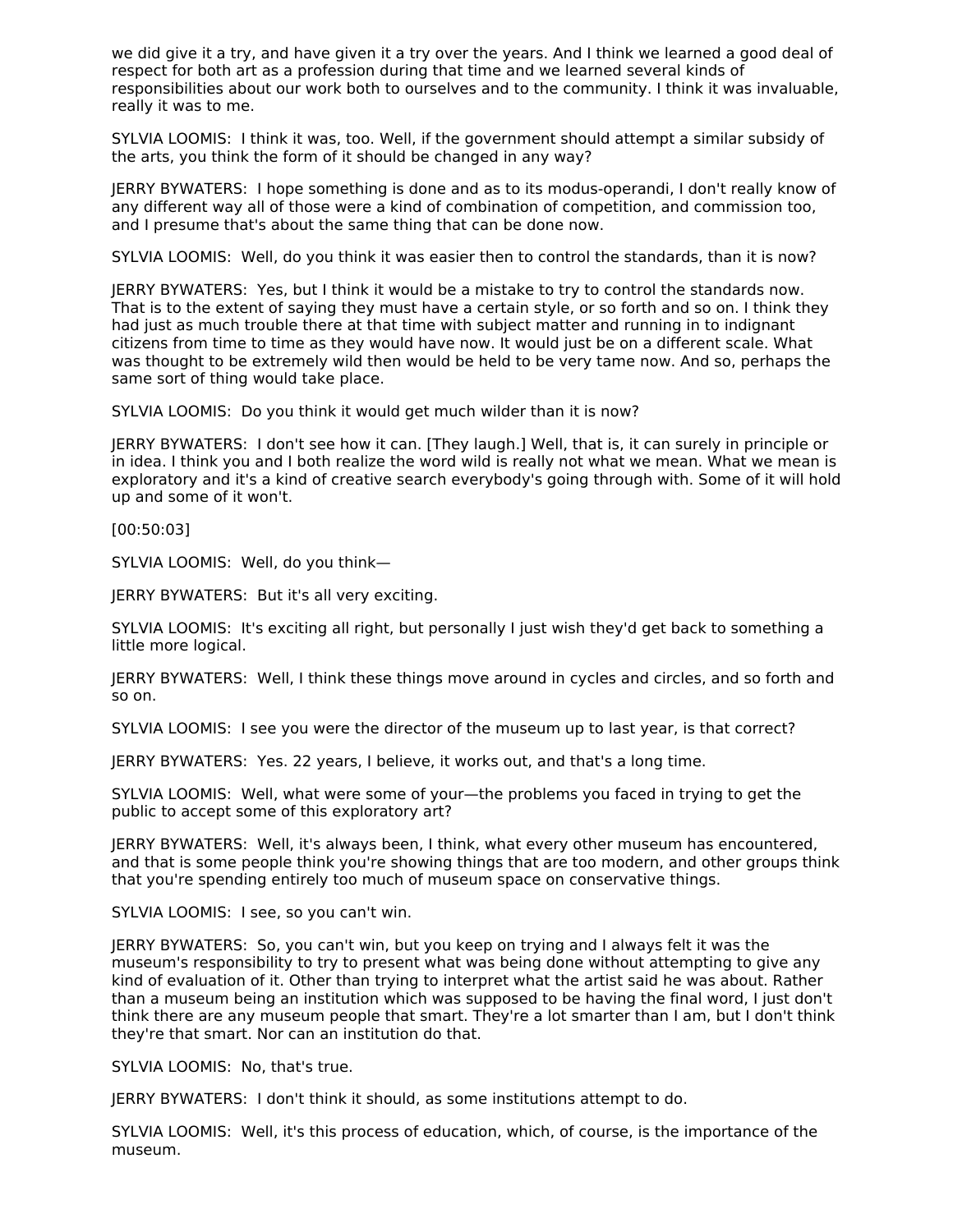we did give it a try, and have given it a try over the years. And I think we learned a good deal of respect for both art as a profession during that time and we learned several kinds of responsibilities about our work both to ourselves and to the community. I think it was invaluable, really it was to me.

SYLVIA LOOMIS: I think it was, too. Well, if the government should attempt a similar subsidy of the arts, you think the form of it should be changed in any way?

JERRY BYWATERS: I hope something is done and as to its modus-operandi, I don't really know of any different way all of those were a kind of combination of competition, and commission too, and I presume that's about the same thing that can be done now.

SYLVIA LOOMIS: Well, do you think it was easier then to control the standards, than it is now?

JERRY BYWATERS: Yes, but I think it would be a mistake to try to control the standards now. That is to the extent of saying they must have a certain style, or so forth and so on. I think they had just as much trouble there at that time with subject matter and running in to indignant citizens from time to time as they would have now. It would just be on a different scale. What was thought to be extremely wild then would be held to be very tame now. And so, perhaps the same sort of thing would take place.

SYLVIA LOOMIS: Do you think it would get much wilder than it is now?

JERRY BYWATERS: I don't see how it can. [They laugh.] Well, that is, it can surely in principle or in idea. I think you and I both realize the word wild is really not what we mean. What we mean is exploratory and it's a kind of creative search everybody's going through with. Some of it will hold up and some of it won't.

[00:50:03]

SYLVIA LOOMIS: Well, do you think—

JERRY BYWATERS: But it's all very exciting.

SYLVIA LOOMIS: It's exciting all right, but personally I just wish they'd get back to something a little more logical.

JERRY BYWATERS: Well, I think these things move around in cycles and circles, and so forth and so on.

SYLVIA LOOMIS: I see you were the director of the museum up to last year, is that correct?

JERRY BYWATERS: Yes. 22 years, I believe, it works out, and that's a long time.

SYLVIA LOOMIS: Well, what were some of your—the problems you faced in trying to get the public to accept some of this exploratory art?

JERRY BYWATERS: Well, it's always been, I think, what every other museum has encountered, and that is some people think you're showing things that are too modern, and other groups think that you're spending entirely too much of museum space on conservative things.

SYLVIA LOOMIS: I see, so you can't win.

JERRY BYWATERS: So, you can't win, but you keep on trying and I always felt it was the museum's responsibility to try to present what was being done without attempting to give any kind of evaluation of it. Other than trying to interpret what the artist said he was about. Rather than a museum being an institution which was supposed to be having the final word, I just don't think there are any museum people that smart. They're a lot smarter than I am, but I don't think they're that smart. Nor can an institution do that.

SYLVIA LOOMIS: No, that's true.

JERRY BYWATERS: I don't think it should, as some institutions attempt to do.

SYLVIA LOOMIS: Well, it's this process of education, which, of course, is the importance of the museum.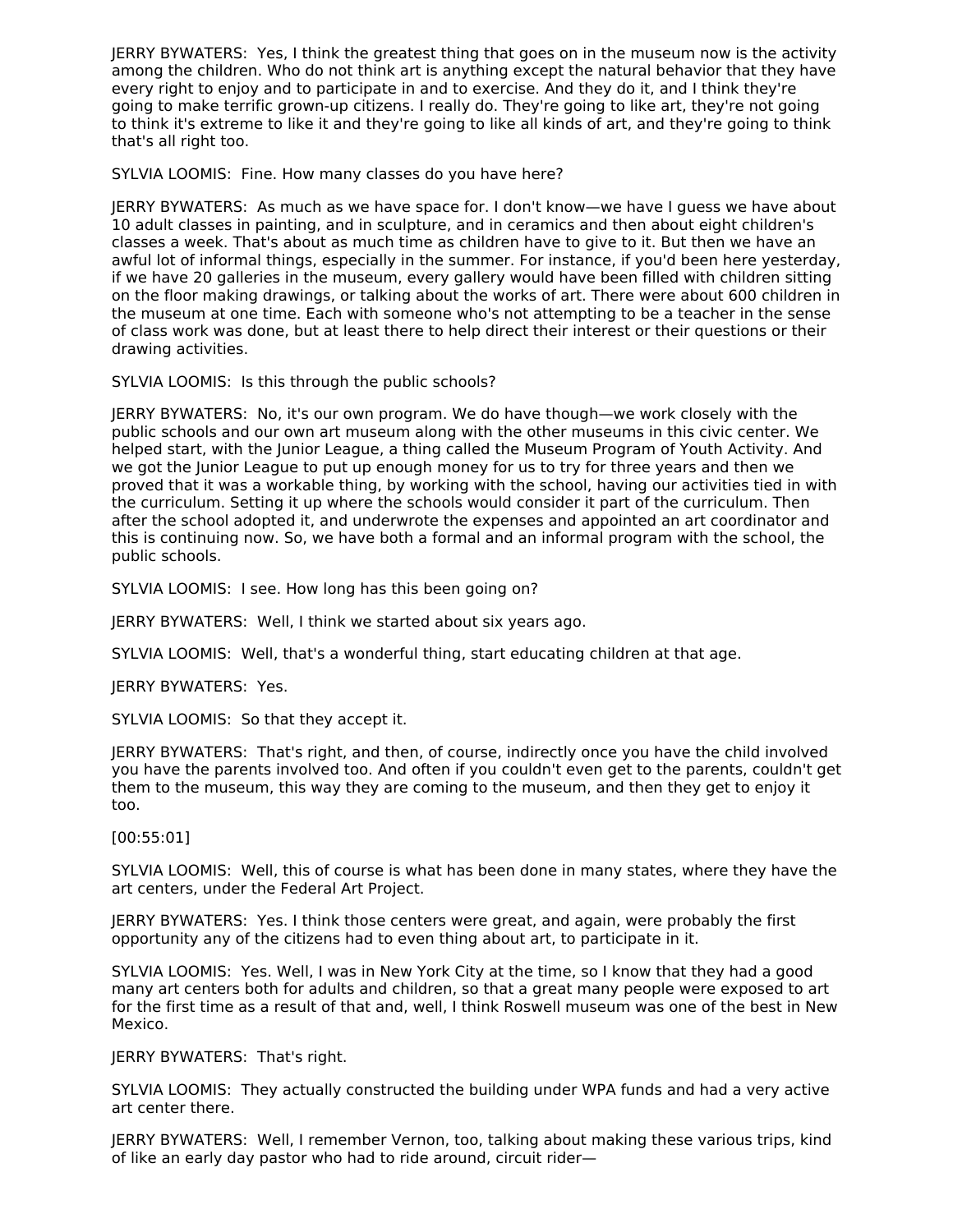JERRY BYWATERS: Yes, I think the greatest thing that goes on in the museum now is the activity among the children. Who do not think art is anything except the natural behavior that they have every right to enjoy and to participate in and to exercise. And they do it, and I think they're going to make terrific grown-up citizens. I really do. They're going to like art, they're not going to think it's extreme to like it and they're going to like all kinds of art, and they're going to think that's all right too.

SYLVIA LOOMIS: Fine. How many classes do you have here?

JERRY BYWATERS: As much as we have space for. I don't know—we have I guess we have about 10 adult classes in painting, and in sculpture, and in ceramics and then about eight children's classes a week. That's about as much time as children have to give to it. But then we have an awful lot of informal things, especially in the summer. For instance, if you'd been here yesterday, if we have 20 galleries in the museum, every gallery would have been filled with children sitting on the floor making drawings, or talking about the works of art. There were about 600 children in the museum at one time. Each with someone who's not attempting to be a teacher in the sense of class work was done, but at least there to help direct their interest or their questions or their drawing activities.

SYLVIA LOOMIS: Is this through the public schools?

JERRY BYWATERS: No, it's our own program. We do have though—we work closely with the public schools and our own art museum along with the other museums in this civic center. We helped start, with the Junior League, a thing called the Museum Program of Youth Activity. And we got the Junior League to put up enough money for us to try for three years and then we proved that it was a workable thing, by working with the school, having our activities tied in with the curriculum. Setting it up where the schools would consider it part of the curriculum. Then after the school adopted it, and underwrote the expenses and appointed an art coordinator and this is continuing now. So, we have both a formal and an informal program with the school, the public schools.

SYLVIA LOOMIS: I see. How long has this been going on?

JERRY BYWATERS: Well, I think we started about six years ago.

SYLVIA LOOMIS: Well, that's a wonderful thing, start educating children at that age.

JERRY BYWATERS: Yes.

SYLVIA LOOMIS: So that they accept it.

JERRY BYWATERS: That's right, and then, of course, indirectly once you have the child involved you have the parents involved too. And often if you couldn't even get to the parents, couldn't get them to the museum, this way they are coming to the museum, and then they get to enjoy it too.

[00:55:01]

SYLVIA LOOMIS: Well, this of course is what has been done in many states, where they have the art centers, under the Federal Art Project.

JERRY BYWATERS: Yes. I think those centers were great, and again, were probably the first opportunity any of the citizens had to even thing about art, to participate in it.

SYLVIA LOOMIS: Yes. Well, I was in New York City at the time, so I know that they had a good many art centers both for adults and children, so that a great many people were exposed to art for the first time as a result of that and, well, I think Roswell museum was one of the best in New Mexico.

JERRY BYWATERS: That's right.

SYLVIA LOOMIS: They actually constructed the building under WPA funds and had a very active art center there.

JERRY BYWATERS: Well, I remember Vernon, too, talking about making these various trips, kind of like an early day pastor who had to ride around, circuit rider